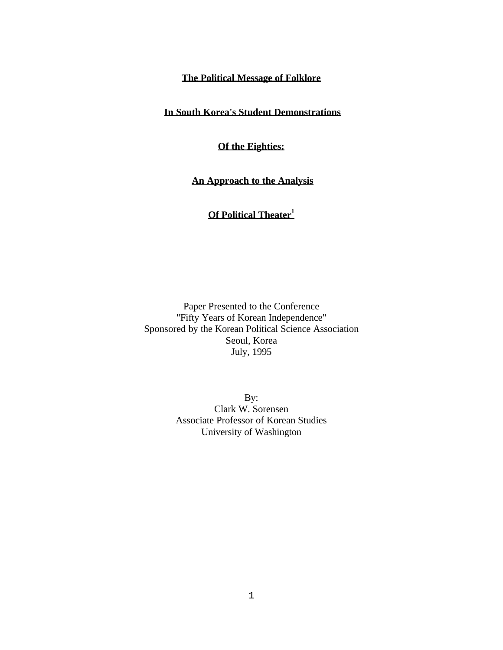## **The Political Message of Folklore**

**In South Korea's Student Demonstrations** 

## **Of the Eighties:**

**An Approach to the Analysis** 

# **Of Political Theater<sup>1</sup>**

Paper Presented to the Conference "Fifty Years of Korean Independence" Sponsored by the Korean Political Science Association Seoul, Korea July, 1995

> By: Clark W. Sorensen Associate Professor of Korean Studies University of Washington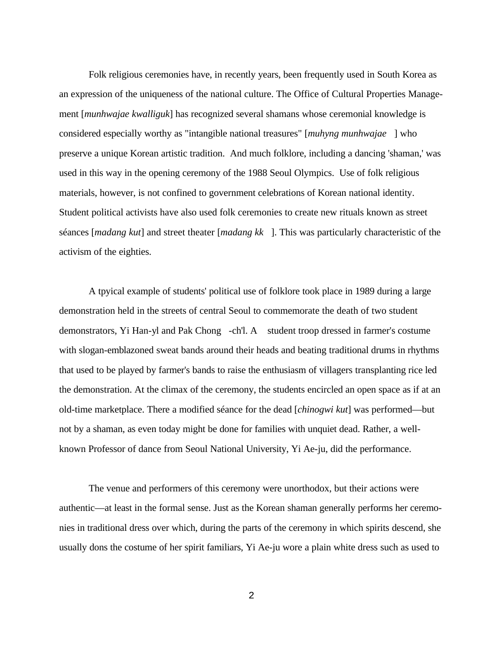Folk religious ceremonies have, in recently years, been frequently used in South Korea as an expression of the uniqueness of the national culture. The Office of Cultural Properties Management [*munhwajae kwalliguk*] has recognized several shamans whose ceremonial knowledge is considered especially worthy as "intangible national treasures" [*muhyng munhwajae* ] who preserve a unique Korean artistic tradition. And much folklore, including a dancing 'shaman,' was used in this way in the opening ceremony of the 1988 Seoul Olympics. Use of folk religious materials, however, is not confined to government celebrations of Korean national identity. Student political activists have also used folk ceremonies to create new rituals known as street séances [*madang kut*] and street theater [*madang kk* ]. This was particularly characteristic of the activism of the eighties.

A tpyical example of students' political use of folklore took place in 1989 during a large demonstration held in the streets of central Seoul to commemorate the death of two student demonstrators, Yi Han-yl and Pak Chong -ch'l. A student troop dressed in farmer's costume with slogan-emblazoned sweat bands around their heads and beating traditional drums in rhythms that used to be played by farmer's bands to raise the enthusiasm of villagers transplanting rice led the demonstration. At the climax of the ceremony, the students encircled an open space as if at an old-time marketplace. There a modified séance for the dead [*chinogwi kut*] was performed—but not by a shaman, as even today might be done for families with unquiet dead. Rather, a wellknown Professor of dance from Seoul National University, Yi Ae-ju, did the performance.

The venue and performers of this ceremony were unorthodox, but their actions were authentic—at least in the formal sense. Just as the Korean shaman generally performs her ceremonies in traditional dress over which, during the parts of the ceremony in which spirits descend, she usually dons the costume of her spirit familiars, Yi Ae-ju wore a plain white dress such as used to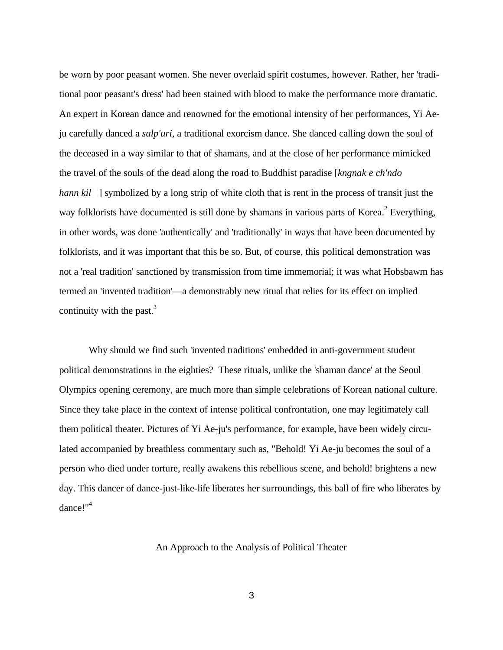be worn by poor peasant women. She never overlaid spirit costumes, however. Rather, her 'traditional poor peasant's dress' had been stained with blood to make the performance more dramatic. An expert in Korean dance and renowned for the emotional intensity of her performances, Yi Aeju carefully danced a *salp'uri*, a traditional exorcism dance. She danced calling down the soul of the deceased in a way similar to that of shamans, and at the close of her performance mimicked the travel of the souls of the dead along the road to Buddhist paradise [*kngnak e ch'ndo hann kil* ] symbolized by a long strip of white cloth that is rent in the process of transit just the way folklorists have documented is still done by shamans in various parts of Korea.<sup>2</sup> Everything, in other words, was done 'authentically' and 'traditionally' in ways that have been documented by folklorists, and it was important that this be so. But, of course, this political demonstration was not a 'real tradition' sanctioned by transmission from time immemorial; it was what Hobsbawm has termed an 'invented tradition'—a demonstrably new ritual that relies for its effect on implied continuity with the past. $3$ 

Why should we find such 'invented traditions' embedded in anti-government student political demonstrations in the eighties? These rituals, unlike the 'shaman dance' at the Seoul Olympics opening ceremony, are much more than simple celebrations of Korean national culture. Since they take place in the context of intense political confrontation, one may legitimately call them political theater. Pictures of Yi Ae-ju's performance, for example, have been widely circulated accompanied by breathless commentary such as, "Behold! Yi Ae-ju becomes the soul of a person who died under torture, really awakens this rebellious scene, and behold! brightens a new day. This dancer of dance-just-like-life liberates her surroundings, this ball of fire who liberates by dance!"<sup>4</sup>

An Approach to the Analysis of Political Theater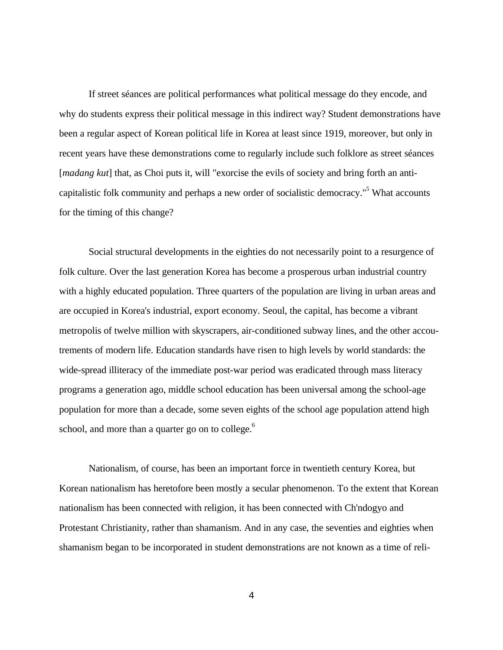If street séances are political performances what political message do they encode, and why do students express their political message in this indirect way? Student demonstrations have been a regular aspect of Korean political life in Korea at least since 1919, moreover, but only in recent years have these demonstrations come to regularly include such folklore as street séances [*madang kut*] that, as Choi puts it, will "exorcise the evils of society and bring forth an anticapitalistic folk community and perhaps a new order of socialistic democracy."<sup>5</sup> What accounts for the timing of this change?

Social structural developments in the eighties do not necessarily point to a resurgence of folk culture. Over the last generation Korea has become a prosperous urban industrial country with a highly educated population. Three quarters of the population are living in urban areas and are occupied in Korea's industrial, export economy. Seoul, the capital, has become a vibrant metropolis of twelve million with skyscrapers, air-conditioned subway lines, and the other accoutrements of modern life. Education standards have risen to high levels by world standards: the wide-spread illiteracy of the immediate post-war period was eradicated through mass literacy programs a generation ago, middle school education has been universal among the school-age population for more than a decade, some seven eights of the school age population attend high school, and more than a quarter go on to college.<sup>6</sup>

Nationalism, of course, has been an important force in twentieth century Korea, but Korean nationalism has heretofore been mostly a secular phenomenon. To the extent that Korean nationalism has been connected with religion, it has been connected with Ch'ndogyo and Protestant Christianity, rather than shamanism. And in any case, the seventies and eighties when shamanism began to be incorporated in student demonstrations are not known as a time of reli-

4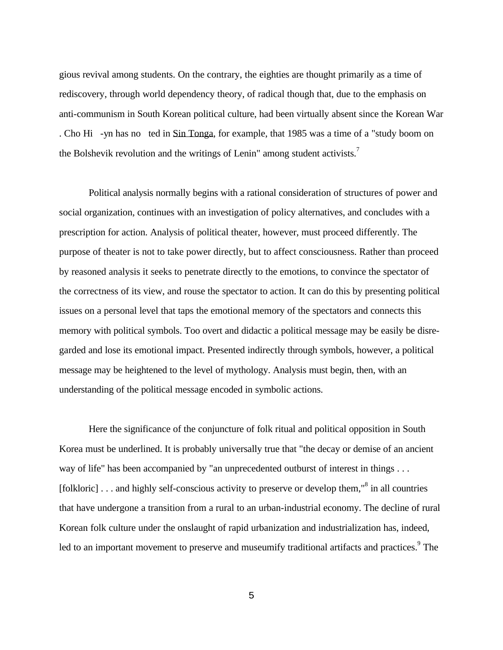gious revival among students. On the contrary, the eighties are thought primarily as a time of rediscovery, through world dependency theory, of radical though that, due to the emphasis on anti-communism in South Korean political culture, had been virtually absent since the Korean War . Cho Hi -yn has no ted in Sin Tonga, for example, that 1985 was a time of a "study boom on the Bolshevik revolution and the writings of Lenin" among student activists.<sup>7</sup>

Political analysis normally begins with a rational consideration of structures of power and social organization, continues with an investigation of policy alternatives, and concludes with a prescription for action. Analysis of political theater, however, must proceed differently. The purpose of theater is not to take power directly, but to affect consciousness. Rather than proceed by reasoned analysis it seeks to penetrate directly to the emotions, to convince the spectator of the correctness of its view, and rouse the spectator to action. It can do this by presenting political issues on a personal level that taps the emotional memory of the spectators and connects this memory with political symbols. Too overt and didactic a political message may be easily be disregarded and lose its emotional impact. Presented indirectly through symbols, however, a political message may be heightened to the level of mythology. Analysis must begin, then, with an understanding of the political message encoded in symbolic actions.

Here the significance of the conjuncture of folk ritual and political opposition in South Korea must be underlined. It is probably universally true that "the decay or demise of an ancient way of life" has been accompanied by "an unprecedented outburst of interest in things . . . [folkloric]  $\ldots$  and highly self-conscious activity to preserve or develop them,"<sup>8</sup> in all countries that have undergone a transition from a rural to an urban-industrial economy. The decline of rural Korean folk culture under the onslaught of rapid urbanization and industrialization has, indeed, led to an important movement to preserve and museumify traditional artifacts and practices.<sup>9</sup> The

5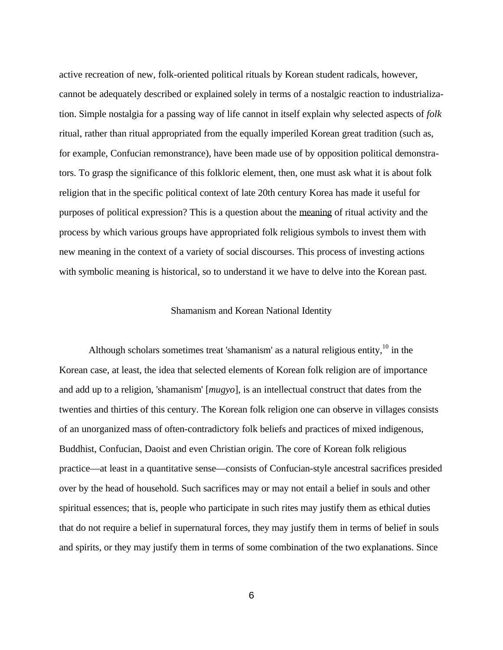active recreation of new, folk-oriented political rituals by Korean student radicals, however, cannot be adequately described or explained solely in terms of a nostalgic reaction to industrialization. Simple nostalgia for a passing way of life cannot in itself explain why selected aspects of *folk* ritual, rather than ritual appropriated from the equally imperiled Korean great tradition (such as, for example, Confucian remonstrance), have been made use of by opposition political demonstrators. To grasp the significance of this folkloric element, then, one must ask what it is about folk religion that in the specific political context of late 20th century Korea has made it useful for purposes of political expression? This is a question about the meaning of ritual activity and the process by which various groups have appropriated folk religious symbols to invest them with new meaning in the context of a variety of social discourses. This process of investing actions with symbolic meaning is historical, so to understand it we have to delve into the Korean past.

#### Shamanism and Korean National Identity

Although scholars sometimes treat 'shamanism' as a natural religious entity, $10$  in the Korean case, at least, the idea that selected elements of Korean folk religion are of importance and add up to a religion, 'shamanism' [*mugyo*], is an intellectual construct that dates from the twenties and thirties of this century. The Korean folk religion one can observe in villages consists of an unorganized mass of often-contradictory folk beliefs and practices of mixed indigenous, Buddhist, Confucian, Daoist and even Christian origin. The core of Korean folk religious practice—at least in a quantitative sense—consists of Confucian-style ancestral sacrifices presided over by the head of household. Such sacrifices may or may not entail a belief in souls and other spiritual essences; that is, people who participate in such rites may justify them as ethical duties that do not require a belief in supernatural forces, they may justify them in terms of belief in souls and spirits, or they may justify them in terms of some combination of the two explanations. Since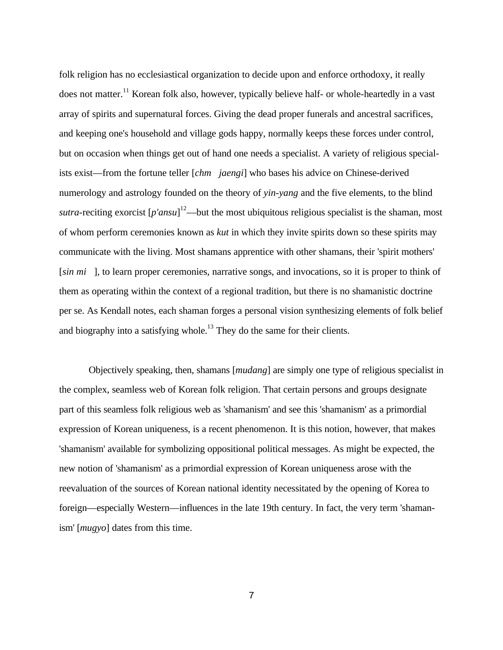folk religion has no ecclesiastical organization to decide upon and enforce orthodoxy, it really does not matter.<sup>11</sup> Korean folk also, however, typically believe half- or whole-heartedly in a vast array of spirits and supernatural forces. Giving the dead proper funerals and ancestral sacrifices, and keeping one's household and village gods happy, normally keeps these forces under control, but on occasion when things get out of hand one needs a specialist. A variety of religious specialists exist—from the fortune teller [*chm jaengi*] who bases his advice on Chinese-derived numerology and astrology founded on the theory of *yin-yang* and the five elements, to the blind *sutra*-reciting exorcist  $[p'ansu]$ <sup>12</sup>—but the most ubiquitous religious specialist is the shaman, most of whom perform ceremonies known as *kut* in which they invite spirits down so these spirits may communicate with the living. Most shamans apprentice with other shamans, their 'spirit mothers' [*sin mi* ], to learn proper ceremonies, narrative songs, and invocations, so it is proper to think of them as operating within the context of a regional tradition, but there is no shamanistic doctrine per se. As Kendall notes, each shaman forges a personal vision synthesizing elements of folk belief and biography into a satisfying whole.<sup>13</sup> They do the same for their clients.

Objectively speaking, then, shamans [*mudang*] are simply one type of religious specialist in the complex, seamless web of Korean folk religion. That certain persons and groups designate part of this seamless folk religious web as 'shamanism' and see this 'shamanism' as a primordial expression of Korean uniqueness, is a recent phenomenon. It is this notion, however, that makes 'shamanism' available for symbolizing oppositional political messages. As might be expected, the new notion of 'shamanism' as a primordial expression of Korean uniqueness arose with the reevaluation of the sources of Korean national identity necessitated by the opening of Korea to foreign—especially Western—influences in the late 19th century. In fact, the very term 'shamanism' [*mugyo*] dates from this time.

7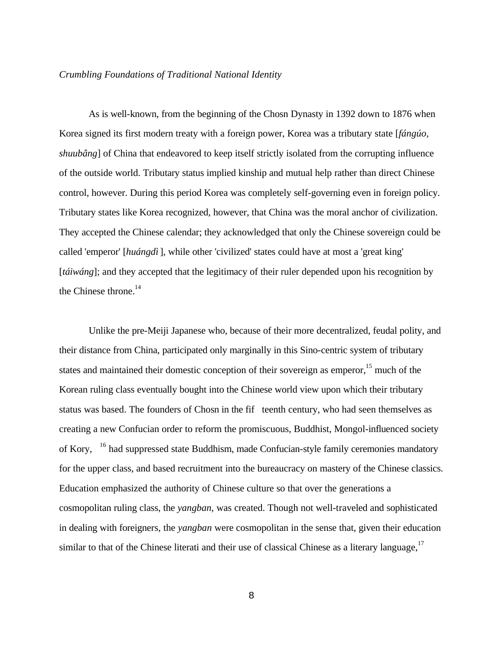#### *Crumbling Foundations of Traditional National Identity*

As is well-known, from the beginning of the Chosn Dynasty in 1392 down to 1876 when Korea signed its first modern treaty with a foreign power, Korea was a tributary state [*fángúo, shuubâng*] of China that endeavored to keep itself strictly isolated from the corrupting influence of the outside world. Tributary status implied kinship and mutual help rather than direct Chinese control, however. During this period Korea was completely self-governing even in foreign policy. Tributary states like Korea recognized, however, that China was the moral anchor of civilization. They accepted the Chinese calendar; they acknowledged that only the Chinese sovereign could be called 'emperor' [*huángdì*], while other 'civilized' states could have at most a 'great king' [*táiwáng*]; and they accepted that the legitimacy of their ruler depended upon his recognition by the Chinese throne.<sup>14</sup>

Unlike the pre-Meiji Japanese who, because of their more decentralized, feudal polity, and their distance from China, participated only marginally in this Sino-centric system of tributary states and maintained their domestic conception of their sovereign as emperor,<sup>15</sup> much of the Korean ruling class eventually bought into the Chinese world view upon which their tributary status was based. The founders of Chos n in the fif teenth century, who had seen themselves as creating a new Confucian order to reform the promiscuous, Buddhist, Mongol-influenced society of Kory, <sup>16</sup> had suppressed state Buddhism, made Confucian-style family ceremonies mandatory for the upper class, and based recruitment into the bureaucracy on mastery of the Chinese classics. Education emphasized the authority of Chinese culture so that over the generations a cosmopolitan ruling class, the *yangban*, was created. Though not well-traveled and sophisticated in dealing with foreigners, the *yangban* were cosmopolitan in the sense that, given their education similar to that of the Chinese literati and their use of classical Chinese as a literary language,<sup>17</sup>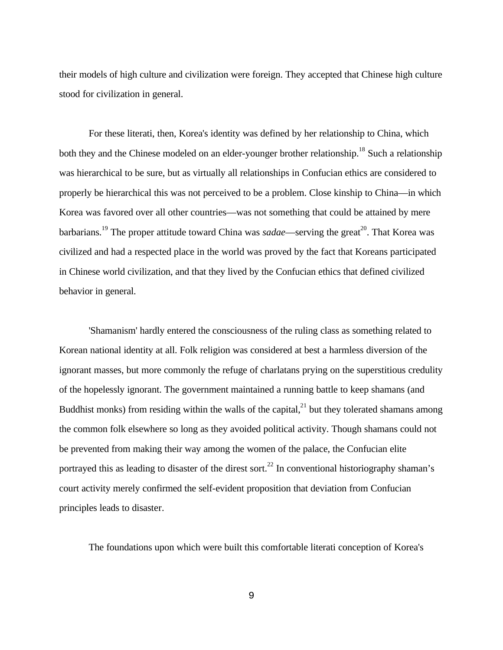their models of high culture and civilization were foreign. They accepted that Chinese high culture stood for civilization in general.

For these literati, then, Korea's identity was defined by her relationship to China, which both they and the Chinese modeled on an elder-younger brother relationship.<sup>18</sup> Such a relationship was hierarchical to be sure, but as virtually all relationships in Confucian ethics are considered to properly be hierarchical this was not perceived to be a problem. Close kinship to China—in which Korea was favored over all other countries—was not something that could be attained by mere barbarians.<sup>19</sup> The proper attitude toward China was *sadae*—serving the great<sup>20</sup>. That Korea was civilized and had a respected place in the world was proved by the fact that Koreans participated in Chinese world civilization, and that they lived by the Confucian ethics that defined civilized behavior in general.

'Shamanism' hardly entered the consciousness of the ruling class as something related to Korean national identity at all. Folk religion was considered at best a harmless diversion of the ignorant masses, but more commonly the refuge of charlatans prying on the superstitious credulity of the hopelessly ignorant. The government maintained a running battle to keep shamans (and Buddhist monks) from residing within the walls of the capital, $^{21}$  but they tolerated shamans among the common folk elsewhere so long as they avoided political activity. Though shamans could not be prevented from making their way among the women of the palace, the Confucian elite portrayed this as leading to disaster of the direst sort.<sup>22</sup> In conventional historiography shaman's court activity merely confirmed the self-evident proposition that deviation from Confucian principles leads to disaster.

The foundations upon which were built this comfortable literati conception of Korea's

9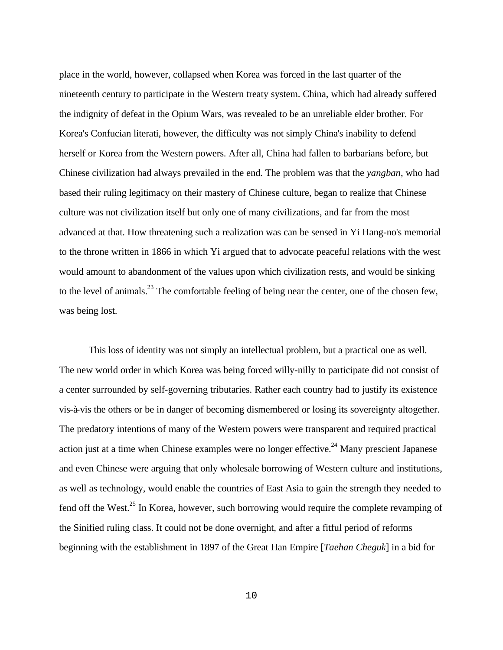place in the world, however, collapsed when Korea was forced in the last quarter of the nineteenth century to participate in the Western treaty system. China, which had already suffered the indignity of defeat in the Opium Wars, was revealed to be an unreliable elder brother. For Korea's Confucian literati, however, the difficulty was not simply China's inability to defend herself or Korea from the Western powers. After all, China had fallen to barbarians before, but Chinese civilization had always prevailed in the end. The problem was that the *yangban*, who had based their ruling legitimacy on their mastery of Chinese culture, began to realize that Chinese culture was not civilization itself but only one of many civilizations, and far from the most advanced at that. How threatening such a realization was can be sensed in Yi Hang-no's memorial to the throne written in 1866 in which Yi argued that to advocate peaceful relations with the west would amount to abandonment of the values upon which civilization rests, and would be sinking to the level of animals.<sup>23</sup> The comfortable feeling of being near the center, one of the chosen few, was being lost.

This loss of identity was not simply an intellectual problem, but a practical one as well. The new world order in which Korea was being forced willy-nilly to participate did not consist of a center surrounded by self-governing tributaries. Rather each country had to justify its existence vis-à-vis the others or be in danger of becoming dismembered or losing its sovereignty altogether. The predatory intentions of many of the Western powers were transparent and required practical action just at a time when Chinese examples were no longer effective.<sup>24</sup> Many prescient Japanese and even Chinese were arguing that only wholesale borrowing of Western culture and institutions, as well as technology, would enable the countries of East Asia to gain the strength they needed to fend off the West.<sup>25</sup> In Korea, however, such borrowing would require the complete revamping of the Sinified ruling class. It could not be done overnight, and after a fitful period of reforms beginning with the establishment in 1897 of the Great Han Empire [*Taehan Cheguk*] in a bid for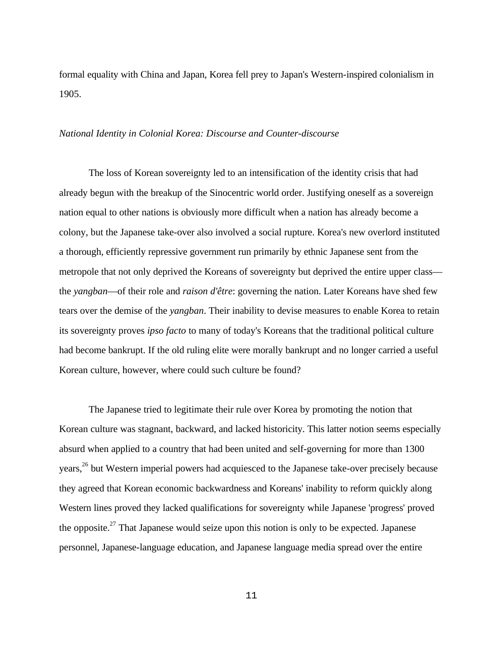formal equality with China and Japan, Korea fell prey to Japan's Western-inspired colonialism in 1905.

#### *National Identity in Colonial Korea: Discourse and Counter-discourse*

The loss of Korean sovereignty led to an intensification of the identity crisis that had already begun with the breakup of the Sinocentric world order. Justifying oneself as a sovereign nation equal to other nations is obviously more difficult when a nation has already become a colony, but the Japanese take-over also involved a social rupture. Korea's new overlord instituted a thorough, efficiently repressive government run primarily by ethnic Japanese sent from the metropole that not only deprived the Koreans of sovereignty but deprived the entire upper class the *yangban*—of their role and *raison d'être*: governing the nation. Later Koreans have shed few tears over the demise of the *yangban*. Their inability to devise measures to enable Korea to retain its sovereignty proves *ipso facto* to many of today's Koreans that the traditional political culture had become bankrupt. If the old ruling elite were morally bankrupt and no longer carried a useful Korean culture, however, where could such culture be found?

The Japanese tried to legitimate their rule over Korea by promoting the notion that Korean culture was stagnant, backward, and lacked historicity. This latter notion seems especially absurd when applied to a country that had been united and self-governing for more than 1300 years,<sup>26</sup> but Western imperial powers had acquiesced to the Japanese take-over precisely because they agreed that Korean economic backwardness and Koreans' inability to reform quickly along Western lines proved they lacked qualifications for sovereignty while Japanese 'progress' proved the opposite.<sup>27</sup> That Japanese would seize upon this notion is only to be expected. Japanese personnel, Japanese-language education, and Japanese language media spread over the entire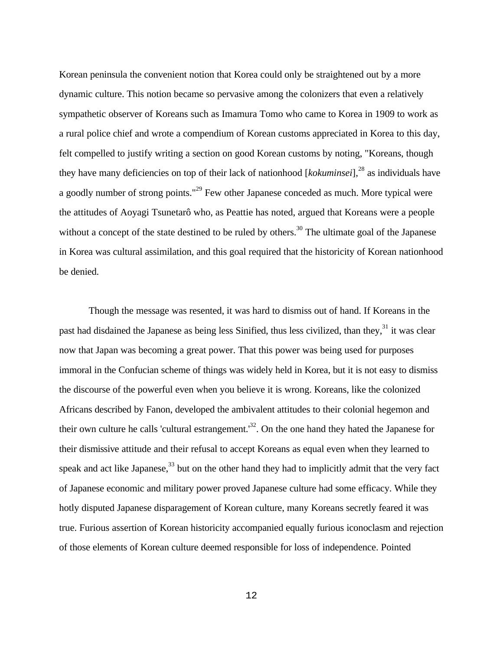Korean peninsula the convenient notion that Korea could only be straightened out by a more dynamic culture. This notion became so pervasive among the colonizers that even a relatively sympathetic observer of Koreans such as Imamura Tomo who came to Korea in 1909 to work as a rural police chief and wrote a compendium of Korean customs appreciated in Korea to this day, felt compelled to justify writing a section on good Korean customs by noting, "Koreans, though they have many deficiencies on top of their lack of nationhood [kokuminsei],<sup>28</sup> as individuals have a goodly number of strong points."<sup>29</sup> Few other Japanese conceded as much. More typical were the attitudes of Aoyagi Tsunetarô who, as Peattie has noted, argued that Koreans were a people without a concept of the state destined to be ruled by others.<sup>30</sup> The ultimate goal of the Japanese in Korea was cultural assimilation, and this goal required that the historicity of Korean nationhood be denied.

Though the message was resented, it was hard to dismiss out of hand. If Koreans in the past had disdained the Japanese as being less Sinified, thus less civilized, than they, $31$  it was clear now that Japan was becoming a great power. That this power was being used for purposes immoral in the Confucian scheme of things was widely held in Korea, but it is not easy to dismiss the discourse of the powerful even when you believe it is wrong. Koreans, like the colonized Africans described by Fanon, developed the ambivalent attitudes to their colonial hegemon and their own culture he calls 'cultural estrangement.<sup>32</sup>. On the one hand they hated the Japanese for their dismissive attitude and their refusal to accept Koreans as equal even when they learned to speak and act like Japanese,<sup>33</sup> but on the other hand they had to implicitly admit that the very fact of Japanese economic and military power proved Japanese culture had some efficacy. While they hotly disputed Japanese disparagement of Korean culture, many Koreans secretly feared it was true. Furious assertion of Korean historicity accompanied equally furious iconoclasm and rejection of those elements of Korean culture deemed responsible for loss of independence. Pointed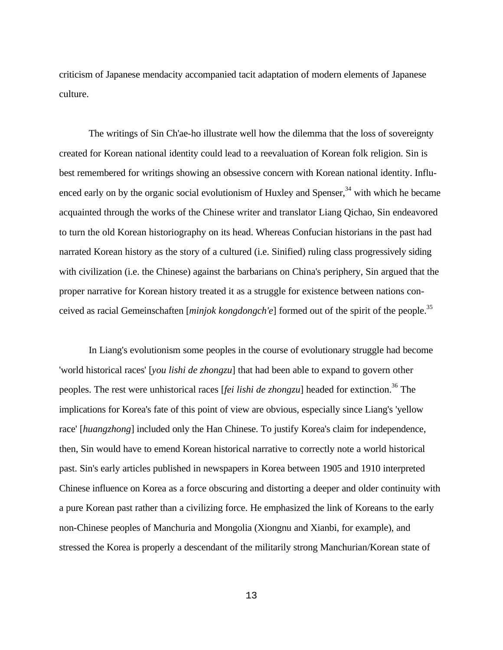criticism of Japanese mendacity accompanied tacit adaptation of modern elements of Japanese culture.

The writings of Sin Ch'ae-ho illustrate well how the dilemma that the loss of sovereignty created for Korean national identity could lead to a reevaluation of Korean folk religion. Sin is best remembered for writings showing an obsessive concern with Korean national identity. Influenced early on by the organic social evolutionism of Huxley and Spenser,<sup>34</sup> with which he became acquainted through the works of the Chinese writer and translator Liang Qichao, Sin endeavored to turn the old Korean historiography on its head. Whereas Confucian historians in the past had narrated Korean history as the story of a cultured (i.e. Sinified) ruling class progressively siding with civilization (i.e. the Chinese) against the barbarians on China's periphery, Sin argued that the proper narrative for Korean history treated it as a struggle for existence between nations conceived as racial Gemeinschaften [*minjok kongdongch'e*] formed out of the spirit of the people.<sup>35</sup>

In Liang's evolutionism some peoples in the course of evolutionary struggle had become 'world historical races' [*you lishi de zhongzu*] that had been able to expand to govern other peoples. The rest were unhistorical races [*fei lishi de zhongzu*] headed for extinction.<sup>36</sup> The implications for Korea's fate of this point of view are obvious, especially since Liang's 'yellow race' [*huangzhong*] included only the Han Chinese. To justify Korea's claim for independence, then, Sin would have to emend Korean historical narrative to correctly note a world historical past. Sin's early articles published in newspapers in Korea between 1905 and 1910 interpreted Chinese influence on Korea as a force obscuring and distorting a deeper and older continuity with a pure Korean past rather than a civilizing force. He emphasized the link of Koreans to the early non-Chinese peoples of Manchuria and Mongolia (Xiongnu and Xianbi, for example), and stressed the Korea is properly a descendant of the militarily strong Manchurian/Korean state of

13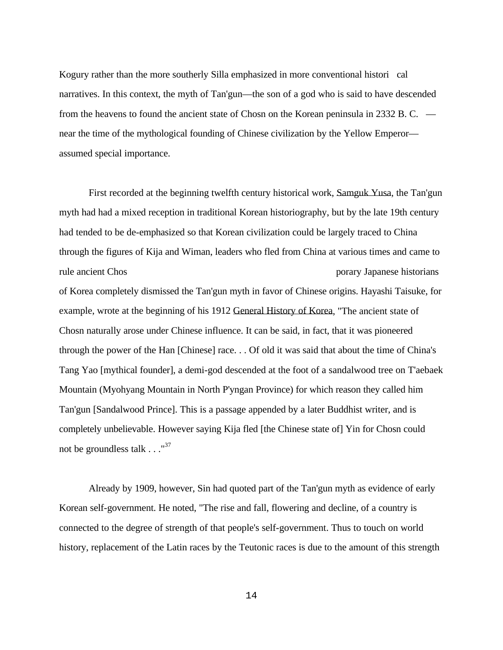Kogury rather than the more southerly Silla emphasized in more conventional histori cal narratives. In this context, the myth of Tan'gun—the son of a god who is said to have descended from the heavens to found the ancient state of Chosn on the Korean peninsula in 2332 B. C.  $$ near the time of the mythological founding of Chinese civilization by the Yellow Emperor assumed special importance.

First recorded at the beginning twelfth century historical work, Samguk Yusa, the Tan'gun myth had had a mixed reception in traditional Korean historiography, but by the late 19th century had tended to be de-emphasized so that Korean civilization could be largely traced to China through the figures of Kija and Wiman, leaders who fled from China at various times and came to rule ancient Chos porary Japanese historians of Korea completely dismissed the Tan'gun myth in favor of Chinese origins. Hayashi Taisuke, for example, wrote at the beginning of his 1912 General History of Korea, "The ancient state of Chosn naturally arose under Chinese influence. It can be said, in fact, that it was pioneered through the power of the Han [Chinese] race. . . Of old it was said that about the time of China's Tang Yao [mythical founder], a demi-god descended at the foot of a sandalwood tree on T'aebaek Mountain (Myohyang Mountain in North P'yngan Province) for which reason they called him Tan'gun [Sandalwood Prince]. This is a passage appended by a later Buddhist writer, and is completely unbelievable. However saying Kija fled [the Chinese state of] Yin for Chosn could not be groundless talk  $\ldots$ <sup>37</sup>

Already by 1909, however, Sin had quoted part of the Tan'gun myth as evidence of early Korean self-government. He noted, "The rise and fall, flowering and decline, of a country is connected to the degree of strength of that people's self-government. Thus to touch on world history, replacement of the Latin races by the Teutonic races is due to the amount of this strength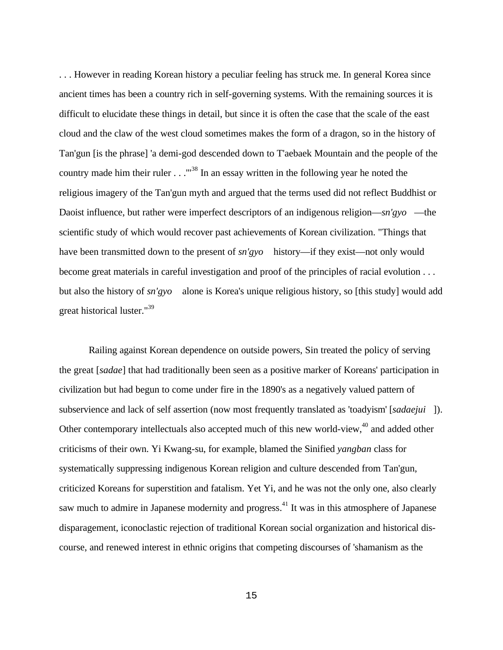. . . However in reading Korean history a peculiar feeling has struck me. In general Korea since ancient times has been a country rich in self-governing systems. With the remaining sources it is difficult to elucidate these things in detail, but since it is often the case that the scale of the east cloud and the claw of the west cloud sometimes makes the form of a dragon, so in the history of Tan'gun [is the phrase] 'a demi-god descended down to T'aebaek Mountain and the people of the country made him their ruler  $\ldots$ .  $\ldots$ <sup>38</sup> In an essay written in the following year he noted the religious imagery of the Tan'gun myth and argued that the terms used did not reflect Buddhist or Daoist influence, but rather were imperfect descriptors of an indigenous religion—*s*  $n'gyo$  —the scientific study of which would recover past achievements of Korean civilization. "Things that have been transmitted down to the present of *sn'gyo* history—if they exist—not only would become great materials in careful investigation and proof of the principles of racial evolution . . . but also the history of *sn'gyo* alone is Korea's unique religious history, so [this study] would add great historical luster."<sup>39</sup>

Railing against Korean dependence on outside powers, Sin treated the policy of serving the great [*sadae*] that had traditionally been seen as a positive marker of Koreans' participation in civilization but had begun to come under fire in the 1890's as a negatively valued pattern of subservience and lack of self assertion (now most frequently translated as 'toadyism' [*sadaeju i* ]). Other contemporary intellectuals also accepted much of this new world-view,<sup>40</sup> and added other criticisms of their own. Yi Kwang-su, for example, blamed the Sinified *yangban* class for systematically suppressing indigenous Korean religion and culture descended from Tan'gun, criticized Koreans for superstition and fatalism. Yet Yi, and he was not the only one, also clearly saw much to admire in Japanese modernity and progress.<sup>41</sup> It was in this atmosphere of Japanese disparagement, iconoclastic rejection of traditional Korean social organization and historical discourse, and renewed interest in ethnic origins that competing discourses of 'shamanism as the

15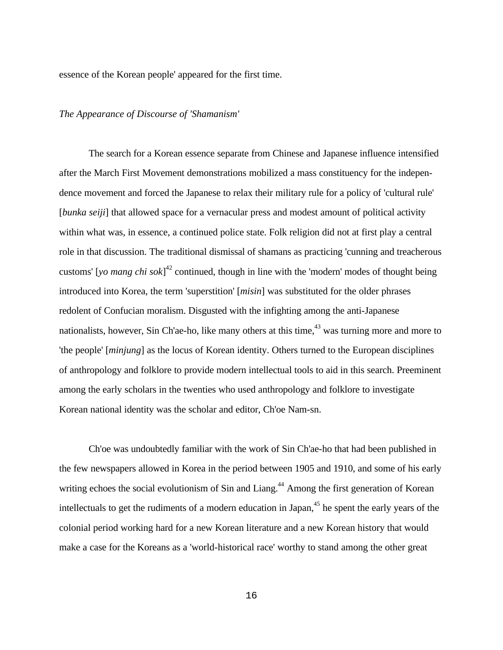essence of the Korean people' appeared for the first time.

### *The Appearance of Discourse of 'Shamanism'*

The search for a Korean essence separate from Chinese and Japanese influence intensified after the March First Movement demonstrations mobilized a mass constituency for the independence movement and forced the Japanese to relax their military rule for a policy of 'cultural rule' [*bunka seiji*] that allowed space for a vernacular press and modest amount of political activity within what was, in essence, a continued police state. Folk religion did not at first play a central role in that discussion. The traditional dismissal of shamans as practicing 'cunning and treacherous customs' [*yo mang chi sok*] <sup>42</sup> continued, though in line with the 'modern' modes of thought being introduced into Korea, the term 'superstition' [*misin*] was substituted for the older phrases redolent of Confucian moralism. Disgusted with the infighting among the anti-Japanese nationalists, however. Sin Ch'ae-ho, like many others at this time,  $43$  was turning more and more to 'the people' [*minjung*] as the locus of Korean identity. Others turned to the European disciplines of anthropology and folklore to provide modern intellectual tools to aid in this search. Preeminent among the early scholars in the twenties who used anthropology and folklore to investigate Korean national identity was the scholar and editor, Ch'oe Nam-s n.

Ch'oe was undoubtedly familiar with the work of Sin Ch'ae-ho that had been published in the few newspapers allowed in Korea in the period between 1905 and 1910, and some of his early writing echoes the social evolutionism of Sin and Liang.<sup>44</sup> Among the first generation of Korean intellectuals to get the rudiments of a modern education in Japan,<sup>45</sup> he spent the early years of the colonial period working hard for a new Korean literature and a new Korean history that would make a case for the Koreans as a 'world-historical race' worthy to stand among the other great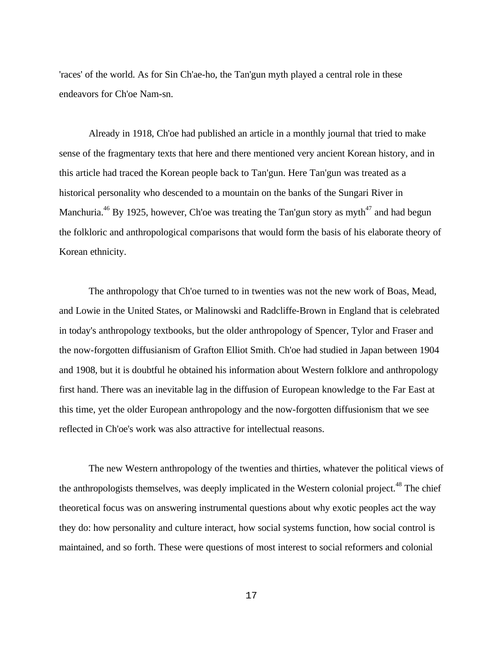'races' of the world. As for Sin Ch'ae-ho, the Tan'gun myth played a central role in these endeavors for Ch'oe Nam-s n.

Already in 1918, Ch'oe had published an article in a monthly journal that tried to make sense of the fragmentary texts that here and there mentioned very ancient Korean history, and in this article had traced the Korean people back to Tan'gun. Here Tan'gun was treated as a historical personality who descended to a mountain on the banks of the Sungari River in Manchuria.<sup>46</sup> By 1925, however, Ch'oe was treating the Tan'gun story as myth<sup>47</sup> and had begun the folkloric and anthropological comparisons that would form the basis of his elaborate theory of Korean ethnicity.

The anthropology that Ch'oe turned to in twenties was not the new work of Boas, Mead, and Lowie in the United States, or Malinowski and Radcliffe-Brown in England that is celebrated in today's anthropology textbooks, but the older anthropology of Spencer, Tylor and Fraser and the now-forgotten diffusianism of Grafton Elliot Smith. Ch'oe had studied in Japan between 1904 and 1908, but it is doubtful he obtained his information about Western folklore and anthropology first hand. There was an inevitable lag in the diffusion of European knowledge to the Far East at this time, yet the older European anthropology and the now-forgotten diffusionism that we see reflected in Ch'oe's work was also attractive for intellectual reasons.

The new Western anthropology of the twenties and thirties, whatever the political views of the anthropologists themselves, was deeply implicated in the Western colonial project.<sup>48</sup> The chief theoretical focus was on answering instrumental questions about why exotic peoples act the way they do: how personality and culture interact, how social systems function, how social control is maintained, and so forth. These were questions of most interest to social reformers and colonial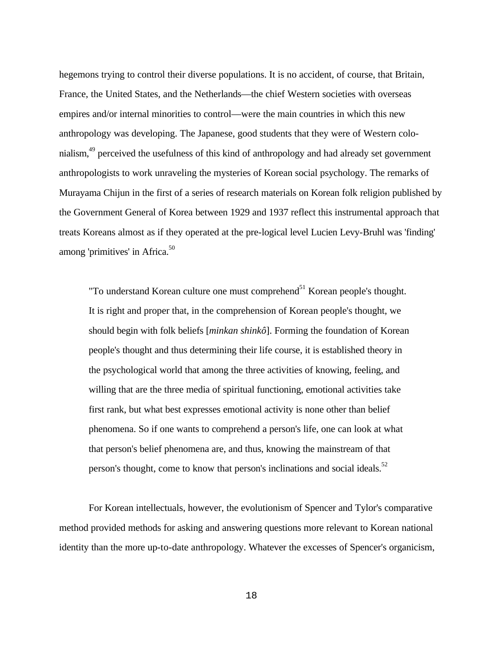hegemons trying to control their diverse populations. It is no accident, of course, that Britain, France, the United States, and the Netherlands—the chief Western societies with overseas empires and/or internal minorities to control—were the main countries in which this new anthropology was developing. The Japanese, good students that they were of Western colonialism,<sup>49</sup> perceived the usefulness of this kind of anthropology and had already set government anthropologists to work unraveling the mysteries of Korean social psychology. The remarks of Murayama Chijun in the first of a series of research materials on Korean folk religion published by the Government General of Korea between 1929 and 1937 reflect this instrumental approach that treats Koreans almost as if they operated at the pre-logical level Lucien Levy-Bruhl was 'finding' among 'primitives' in Africa. $50$ 

"To understand Korean culture one must comprehend $51$  Korean people's thought. It is right and proper that, in the comprehension of Korean people's thought, we should begin with folk beliefs [*minkan shinkô*]. Forming the foundation of Korean people's thought and thus determining their life course, it is established theory in the psychological world that among the three activities of knowing, feeling, and willing that are the three media of spiritual functioning, emotional activities take first rank, but what best expresses emotional activity is none other than belief phenomena. So if one wants to comprehend a person's life, one can look at what that person's belief phenomena are, and thus, knowing the mainstream of that person's thought, come to know that person's inclinations and social ideals.<sup>52</sup>

For Korean intellectuals, however, the evolutionism of Spencer and Tylor's comparative method provided methods for asking and answering questions more relevant to Korean national identity than the more up-to-date anthropology. Whatever the excesses of Spencer's organicism,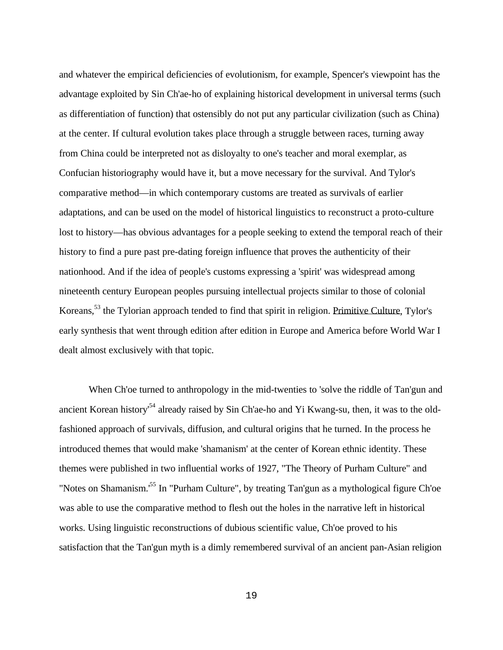and whatever the empirical deficiencies of evolutionism, for example, Spencer's viewpoint has the advantage exploited by Sin Ch'ae-ho of explaining historical development in universal terms (such as differentiation of function) that ostensibly do not put any particular civilization (such as China) at the center. If cultural evolution takes place through a struggle between races, turning away from China could be interpreted not as disloyalty to one's teacher and moral exemplar, as Confucian historiography would have it, but a move necessary for the survival. And Tylor's comparative method—in which contemporary customs are treated as survivals of earlier adaptations, and can be used on the model of historical linguistics to reconstruct a proto-culture lost to history—has obvious advantages for a people seeking to extend the temporal reach of their history to find a pure past pre-dating foreign influence that proves the authenticity of their nationhood. And if the idea of people's customs expressing a 'spirit' was widespread among nineteenth century European peoples pursuing intellectual projects similar to those of colonial Koreans,<sup>53</sup> the Tylorian approach tended to find that spirit in religion. Primitive Culture, Tylor's early synthesis that went through edition after edition in Europe and America before World War I dealt almost exclusively with that topic.

When Ch'oe turned to anthropology in the mid-twenties to 'solve the riddle of Tan'gun and ancient Korean history<sup>54</sup> already raised by Sin Ch'ae-ho and Yi Kwang-su, then, it was to the oldfashioned approach of survivals, diffusion, and cultural origins that he turned. In the process he introduced themes that would make 'shamanism' at the center of Korean ethnic identity. These themes were published in two influential works of 1927, "The Theory of Purham Culture" and "Notes on Shamanism.<sup>55</sup> In "Purham Culture", by treating Tan'gun as a mythological figure Ch'oe was able to use the comparative method to flesh out the holes in the narrative left in historical works. Using linguistic reconstructions of dubious scientific value, Ch'oe proved to his satisfaction that the Tan'gun myth is a dimly remembered survival of an ancient pan-Asian religion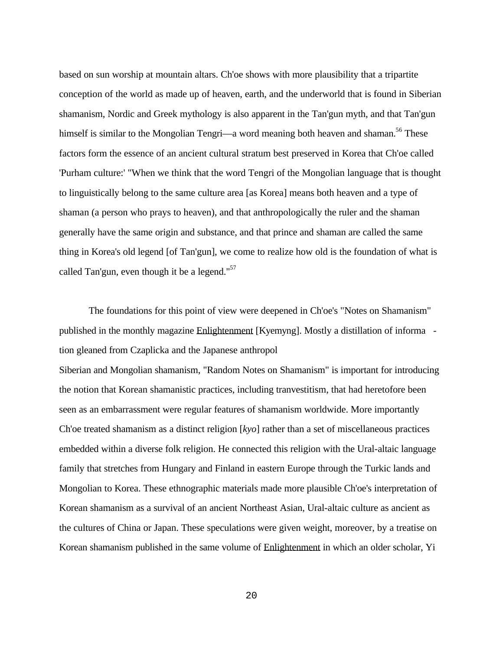based on sun worship at mountain altars. Ch'oe shows with more plausibility that a tripartite conception of the world as made up of heaven, earth, and the underworld that is found in Siberian shamanism, Nordic and Greek mythology is also apparent in the Tan'gun myth, and that Tan'gun himself is similar to the Mongolian Tengri—a word meaning both heaven and shaman.<sup>56</sup> These factors form the essence of an ancient cultural stratum best preserved in Korea that Ch'oe called 'Purham culture:' "When we think that the word Tengri of the Mongolian language that is thought to linguistically belong to the same culture area [as Korea] means both heaven and a type of shaman (a person who prays to heaven), and that anthropologically the ruler and the shaman generally have the same origin and substance, and that prince and shaman are called the same thing in Korea's old legend [of Tan'gun], we come to realize how old is the foundation of what is called Tan'gun, even though it be a legend." $57$ 

The foundations for this point of view were deepened in Ch'oe's "Notes on Shamanism" published in the monthly magazine Enlightenment [Kyemyng]. Mostly a distillation of informa tion gleaned from Czaplicka and the Japanese anthropol

Siberian and Mongolian shamanism, "Random Notes on Shamanism" is important for introducing the notion that Korean shamanistic practices, including tranvestitism, that had heretofore been seen as an embarrassment were regular features of shamanism worldwide. More importantly Ch'oe treated shamanism as a distinct religion [*kyo*] rather than a set of miscellaneous practices embedded within a diverse folk religion. He connected this religion with the Ural-altaic language family that stretches from Hungary and Finland in eastern Europe through the Turkic lands and Mongolian to Korea. These ethnographic materials made more plausible Ch'oe's interpretation of Korean shamanism as a survival of an ancient Northeast Asian, Ural-altaic culture as ancient as the cultures of China or Japan. These speculations were given weight, moreover, by a treatise on Korean shamanism published in the same volume of Enlightenment in which an older scholar, Yi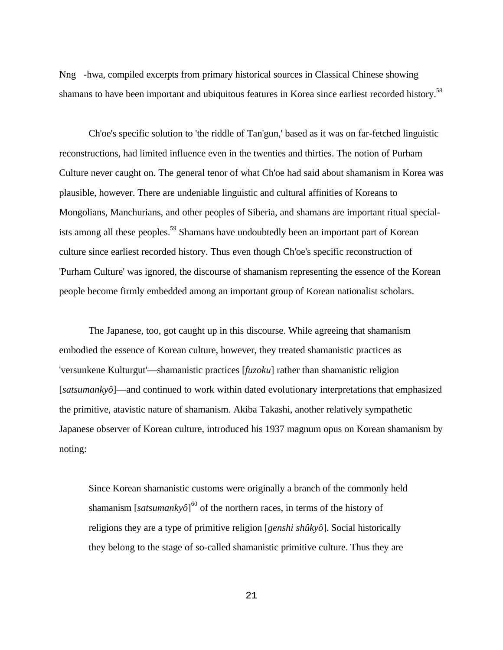Nng -hwa, compiled excerpts from primary historical sources in Classical Chinese showing shamans to have been important and ubiquitous features in Korea since earliest recorded history.<sup>58</sup>

Ch'oe's specific solution to 'the riddle of Tan'gun,' based as it was on far-fetched linguistic reconstructions, had limited influence even in the twenties and thirties. The notion of Purham Culture never caught on. The general tenor of what Ch'oe had said about shamanism in Korea was plausible, however. There are undeniable linguistic and cultural affinities of Koreans to Mongolians, Manchurians, and other peoples of Siberia, and shamans are important ritual specialists among all these peoples.<sup>59</sup> Shamans have undoubtedly been an important part of Korean culture since earliest recorded history. Thus even though Ch'oe's specific reconstruction of 'Purham Culture' was ignored, the discourse of shamanism representing the essence of the Korean people become firmly embedded among an important group of Korean nationalist scholars.

The Japanese, too, got caught up in this discourse. While agreeing that shamanism embodied the essence of Korean culture, however, they treated shamanistic practices as 'versunkene Kulturgut'—shamanistic practices [*fuzoku*] rather than shamanistic religion [*satsumankyô*]—and continued to work within dated evolutionary interpretations that emphasized the primitive, atavistic nature of shamanism. Akiba Takashi, another relatively sympathetic Japanese observer of Korean culture, introduced his 1937 magnum opus on Korean shamanism by noting:

Since Korean shamanistic customs were originally a branch of the commonly held shamanism [*satsumankyô*]<sup>60</sup> of the northern races, in terms of the history of religions they are a type of primitive religion [*genshi shûkyô*]. Social historically they belong to the stage of so-called shamanistic primitive culture. Thus they are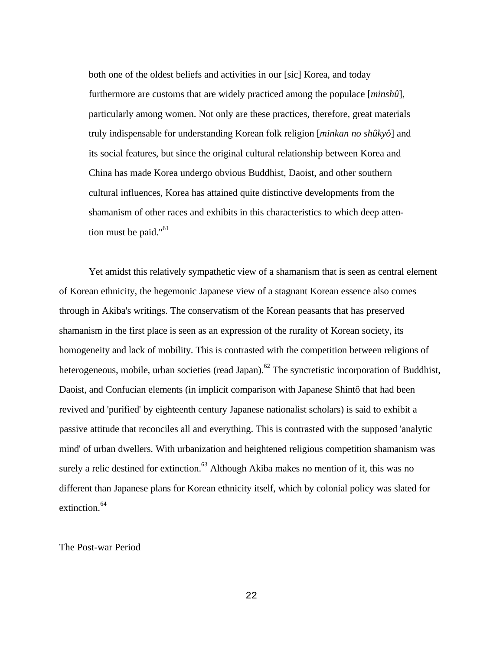both one of the oldest beliefs and activities in our [sic] Korea, and today furthermore are customs that are widely practiced among the populace [*minshû*], particularly among women. Not only are these practices, therefore, great materials truly indispensable for understanding Korean folk religion [*minkan no shûkyô*] and its social features, but since the original cultural relationship between Korea and China has made Korea undergo obvious Buddhist, Daoist, and other southern cultural influences, Korea has attained quite distinctive developments from the shamanism of other races and exhibits in this characteristics to which deep attention must be paid."<sup>61</sup>

Yet amidst this relatively sympathetic view of a shamanism that is seen as central element of Korean ethnicity, the hegemonic Japanese view of a stagnant Korean essence also comes through in Akiba's writings. The conservatism of the Korean peasants that has preserved shamanism in the first place is seen as an expression of the rurality of Korean society, its homogeneity and lack of mobility. This is contrasted with the competition between religions of heterogeneous, mobile, urban societies (read Japan).<sup>62</sup> The syncretistic incorporation of Buddhist, Daoist, and Confucian elements (in implicit comparison with Japanese Shintô that had been revived and 'purified' by eighteenth century Japanese nationalist scholars) is said to exhibit a passive attitude that reconciles all and everything. This is contrasted with the supposed 'analytic mind' of urban dwellers. With urbanization and heightened religious competition shamanism was surely a relic destined for extinction.<sup>63</sup> Although Akiba makes no mention of it, this was no different than Japanese plans for Korean ethnicity itself, which by colonial policy was slated for extinction. 64

The Post-war Period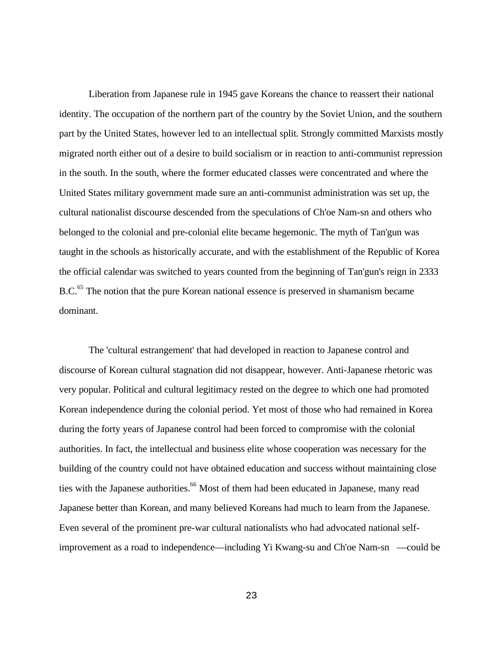Liberation from Japanese rule in 1945 gave Koreans the chance to reassert their national identity. The occupation of the northern part of the country by the Soviet Union, and the southern part by the United States, however led to an intellectual split. Strongly committed Marxists mostly migrated north either out of a desire to build socialism or in reaction to anti-communist repression in the south. In the south, where the former educated classes were concentrated and where the United States military government made sure an anti-communist administration was set up, the cultural nationalist discourse descended from the speculations of Ch'oe Nam-s n and others who belonged to the colonial and pre-colonial elite became hegemonic. The myth of Tan'gun was taught in the schools as historically accurate, and with the establishment of the Republic of Korea the official calendar was switched to years counted from the beginning of Tan'gun's reign in 2333 B.C.<sup>65</sup> The notion that the pure Korean national essence is preserved in shamanism became dominant.

The 'cultural estrangement' that had developed in reaction to Japanese control and discourse of Korean cultural stagnation did not disappear, however. Anti-Japanese rhetoric was very popular. Political and cultural legitimacy rested on the degree to which one had promoted Korean independence during the colonial period. Yet most of those who had remained in Korea during the forty years of Japanese control had been forced to compromise with the colonial authorities. In fact, the intellectual and business elite whose cooperation was necessary for the building of the country could not have obtained education and success without maintaining close ties with the Japanese authorities.<sup>66</sup> Most of them had been educated in Japanese, many read Japanese better than Korean, and many believed Koreans had much to learn from the Japanese. Even several of the prominent pre-war cultural nationalists who had advocated national selfimprovement as a road to independence—including Yi Kwang-su and Ch'oe Nam-sn —could be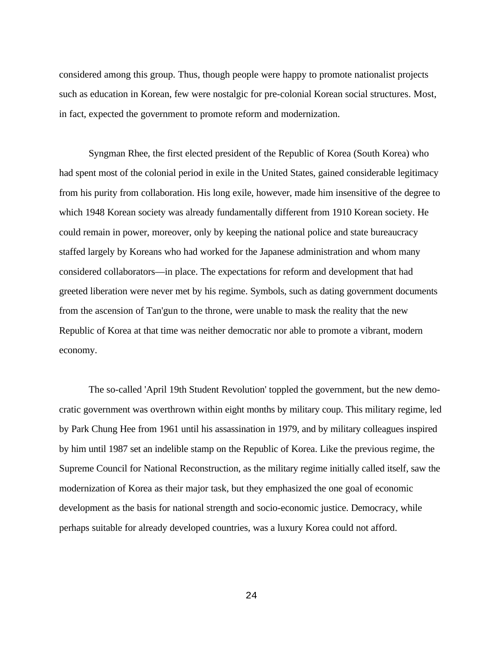considered among this group. Thus, though people were happy to promote nationalist projects such as education in Korean, few were nostalgic for pre-colonial Korean social structures. Most, in fact, expected the government to promote reform and modernization.

Syngman Rhee, the first elected president of the Republic of Korea (South Korea) who had spent most of the colonial period in exile in the United States, gained considerable legitimacy from his purity from collaboration. His long exile, however, made him insensitive of the degree to which 1948 Korean society was already fundamentally different from 1910 Korean society. He could remain in power, moreover, only by keeping the national police and state bureaucracy staffed largely by Koreans who had worked for the Japanese administration and whom many considered collaborators—in place. The expectations for reform and development that had greeted liberation were never met by his regime. Symbols, such as dating government documents from the ascension of Tan'gun to the throne, were unable to mask the reality that the new Republic of Korea at that time was neither democratic nor able to promote a vibrant, modern economy.

The so-called 'April 19th Student Revolution' toppled the government, but the new democratic government was overthrown within eight months by military coup. This military regime, led by Park Chung Hee from 1961 until his assassination in 1979, and by military colleagues inspired by him until 1987 set an indelible stamp on the Republic of Korea. Like the previous regime, the Supreme Council for National Reconstruction, as the military regime initially called itself, saw the modernization of Korea as their major task, but they emphasized the one goal of economic development as the basis for national strength and socio-economic justice. Democracy, while perhaps suitable for already developed countries, was a luxury Korea could not afford.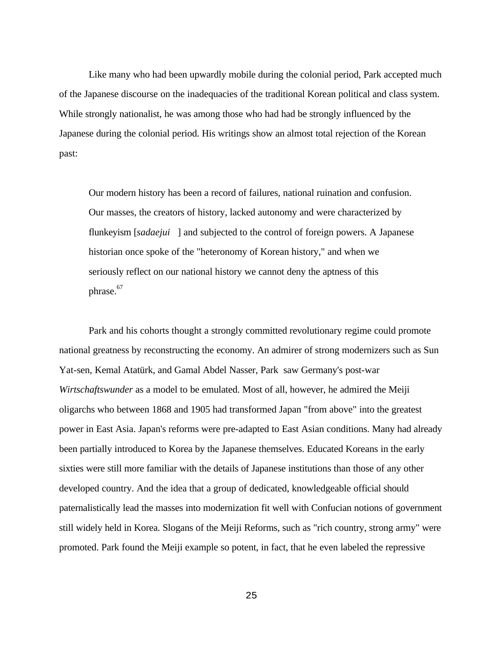Like many who had been upwardly mobile during the colonial period, Park accepted much of the Japanese discourse on the inadequacies of the traditional Korean political and class system. While strongly nationalist, he was among those who had had be strongly influenced by the Japanese during the colonial period. His writings show an almost total rejection of the Korean past:

Our modern history has been a record of failures, national ruination and confusion. Our masses, the creators of history, lacked autonomy and were characterized by flunkeyism [*sadaeju i* ] and subjected to the control of foreign powers. A Japanese historian once spoke of the "heteronomy of Korean history," and when we seriously reflect on our national history we cannot deny the aptness of this phrase.<sup>67</sup>

Park and his cohorts thought a strongly committed revolutionary regime could promote national greatness by reconstructing the economy. An admirer of strong modernizers such as Sun Yat-sen, Kemal Atatürk, and Gamal Abdel Nasser, Park saw Germany's post-war *Wirtschaftswunder* as a model to be emulated. Most of all, however, he admired the Meiji oligarchs who between 1868 and 1905 had transformed Japan "from above" into the greatest power in East Asia. Japan's reforms were pre-adapted to East Asian conditions. Many had already been partially introduced to Korea by the Japanese themselves. Educated Koreans in the early sixties were still more familiar with the details of Japanese institutions than those of any other developed country. And the idea that a group of dedicated, knowledgeable official should paternalistically lead the masses into modernization fit well with Confucian notions of government still widely held in Korea. Slogans of the Meiji Reforms, such as "rich country, strong army" were promoted. Park found the Meiji example so potent, in fact, that he even labeled the repressive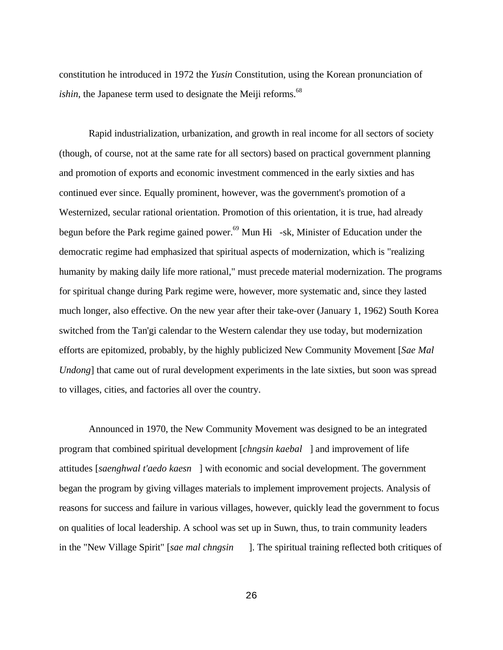constitution he introduced in 1972 the *Yusin* Constitution, using the Korean pronunciation of *ishin*, the Japanese term used to designate the Meiji reforms.<sup>68</sup>

Rapid industrialization, urbanization, and growth in real income for all sectors of society (though, of course, not at the same rate for all sectors) based on practical government planning and promotion of exports and economic investment commenced in the early sixties and has continued ever since. Equally prominent, however, was the government's promotion of a Westernized, secular rational orientation. Promotion of this orientation, it is true, had already begun before the Park regime gained power.<sup>69</sup> Mun H<sub>i</sub> -s k, Minister of Education under the democratic regime had emphasized that spiritual aspects of modernization, which is "realizing humanity by making daily life more rational," must precede material modernization. The programs for spiritual change during Park regime were, however, more systematic and, since they lasted much longer, also effective. On the new year after their take-over (January 1, 1962) South Korea switched from the Tan'gi calendar to the Western calendar they use today, but modernization efforts are epitomized, probably, by the highly publicized New Community Movement [*Sae Mal Undong*] that came out of rural development experiments in the late sixties, but soon was spread to villages, cities, and factories all over the country.

Announced in 1970, the New Community Movement was designed to be an integrated program that combined spiritual development [*chngsin kaebal* ] and improvement of life attitudes [*saenghwal t'aedo kaesn* ] with economic and social development. The government began the program by giving villages materials to implement improvement projects. Analysis of reasons for success and failure in various villages, however, quickly lead the government to focus on qualities of local leadership. A school was set up in Suwn, thus, to train community leaders in the "New Village Spirit" [*sae mal chngsin* ]. The spiritual training reflected both critiques of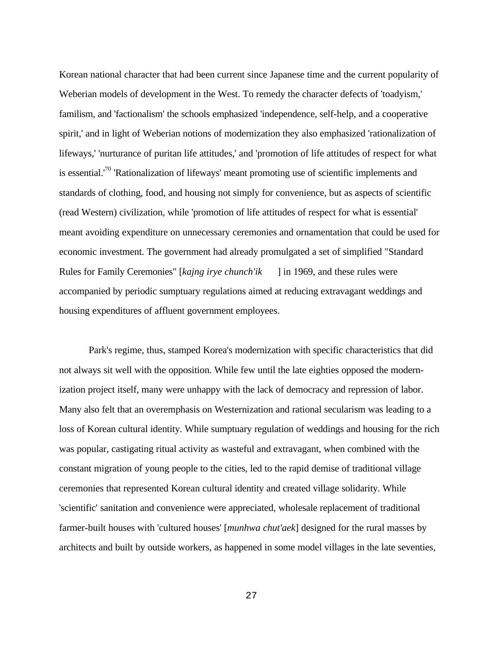Korean national character that had been current since Japanese time and the current popularity of Weberian models of development in the West. To remedy the character defects of 'toadyism,' familism, and 'factionalism' the schools emphasized 'independence, self-help, and a cooperative spirit,' and in light of Weberian notions of modernization they also emphasized 'rationalization of lifeways,' 'nurturance of puritan life attitudes,' and 'promotion of life attitudes of respect for what is essential.<sup>70</sup> 'Rationalization of lifeways' meant promoting use of scientific implements and standards of clothing, food, and housing not simply for convenience, but as aspects of scientific (read Western) civilization, while 'promotion of life attitudes of respect for what is essential' meant avoiding expenditure on unnecessary ceremonies and ornamentation that could be used for economic investment. The government had already promulgated a set of simplified "Standard Rules for Family Ceremonies" [*kajng irye chunch'ik* ] in 1969, and these rules were accompanied by periodic sumptuary regulations aimed at reducing extravagant weddings and housing expenditures of affluent government employees.

Park's regime, thus, stamped Korea's modernization with specific characteristics that did not always sit well with the opposition. While few until the late eighties opposed the modernization project itself, many were unhappy with the lack of democracy and repression of labor. Many also felt that an overemphasis on Westernization and rational secularism was leading to a loss of Korean cultural identity. While sumptuary regulation of weddings and housing for the rich was popular, castigating ritual activity as wasteful and extravagant, when combined with the constant migration of young people to the cities, led to the rapid demise of traditional village ceremonies that represented Korean cultural identity and created village solidarity. While 'scientific' sanitation and convenience were appreciated, wholesale replacement of traditional farmer-built houses with 'cultured houses' [*munhwa chut'aek*] designed for the rural masses by architects and built by outside workers, as happened in some model villages in the late seventies,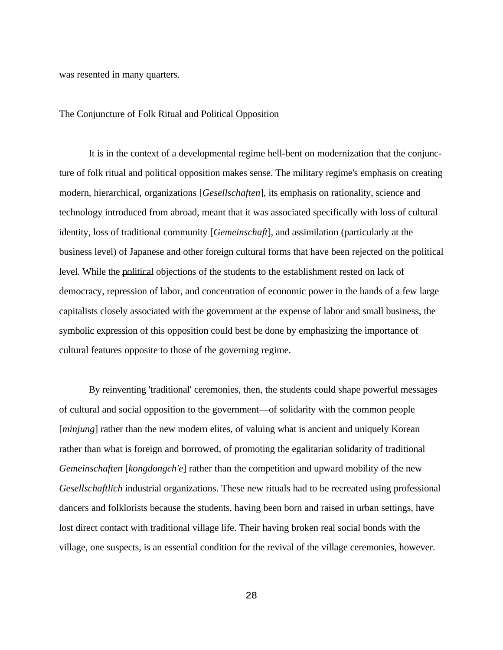was resented in many quarters.

The Conjuncture of Folk Ritual and Political Opposition

It is in the context of a developmental regime hell-bent on modernization that the conjuncture of folk ritual and political opposition makes sense. The military regime's emphasis on creating modern, hierarchical, organizations [*Gesellschaften*], its emphasis on rationality, science and technology introduced from abroad, meant that it was associated specifically with loss of cultural identity, loss of traditional community [*Gemeinschaft*], and assimilation (particularly at the business level) of Japanese and other foreign cultural forms that have been rejected on the political level. While the political objections of the students to the establishment rested on lack of democracy, repression of labor, and concentration of economic power in the hands of a few large capitalists closely associated with the government at the expense of labor and small business, the symbolic expression of this opposition could best be done by emphasizing the importance of cultural features opposite to those of the governing regime.

By reinventing 'traditional' ceremonies, then, the students could shape powerful messages of cultural and social opposition to the government—of solidarity with the common people [*minjung*] rather than the new modern elites, of valuing what is ancient and uniquely Korean rather than what is foreign and borrowed, of promoting the egalitarian solidarity of traditional *Gemeinschaften* [*kongdongch'e*] rather than the competition and upward mobility of the new *Gesellschaftlich* industrial organizations. These new rituals had to be recreated using professional dancers and folklorists because the students, having been born and raised in urban settings, have lost direct contact with traditional village life. Their having broken real social bonds with the village, one suspects, is an essential condition for the revival of the village ceremonies, however.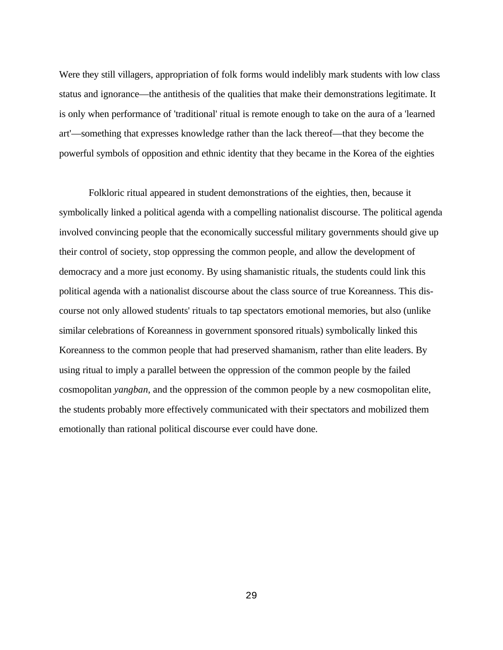Were they still villagers, appropriation of folk forms would indelibly mark students with low class status and ignorance—the antithesis of the qualities that make their demonstrations legitimate. It is only when performance of 'traditional' ritual is remote enough to take on the aura of a 'learned art'—something that expresses knowledge rather than the lack thereof—that they become the powerful symbols of opposition and ethnic identity that they became in the Korea of the eighties

Folkloric ritual appeared in student demonstrations of the eighties, then, because it symbolically linked a political agenda with a compelling nationalist discourse. The political agenda involved convincing people that the economically successful military governments should give up their control of society, stop oppressing the common people, and allow the development of democracy and a more just economy. By using shamanistic rituals, the students could link this political agenda with a nationalist discourse about the class source of true Koreanness. This discourse not only allowed students' rituals to tap spectators emotional memories, but also (unlike similar celebrations of Koreanness in government sponsored rituals) symbolically linked this Koreanness to the common people that had preserved shamanism, rather than elite leaders. By using ritual to imply a parallel between the oppression of the common people by the failed cosmopolitan *yangban*, and the oppression of the common people by a new cosmopolitan elite, the students probably more effectively communicated with their spectators and mobilized them emotionally than rational political discourse ever could have done.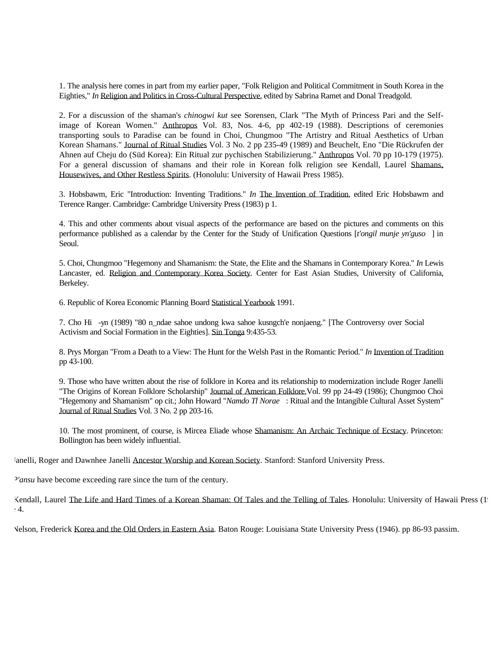1. The analysis here comes in part from my earlier paper, "Folk Religion and Political Commitment in South Korea in the Eighties," *In* Religion and Politics in Cross-Cultural Perspective, edited by Sabrina Ramet and Donal Treadgold.

2. For a discussion of the shaman's *chinogwi kut* see Sorensen, Clark "The Myth of Princess Pari and the Selfimage of Korean Women." Anthropos Vol. 83, Nos. 4-6, pp 402-19 (1988). Descriptions of ceremonies transporting souls to Paradise can be found in Choi, Chungmoo "The Artistry and Ritual Aesthetics of Urban Korean Shamans." Journal of Ritual Studies Vol. 3 No. 2 pp 235-49 (1989) and Beuchelt, Eno "Die Rückrufen der Ahnen auf Cheju do (Süd Korea): Ein Ritual zur pychischen Stabilizierung." Anthropos Vol. 70 pp 10-179 (1975). For a general discussion of shamans and their role in Korean folk religion see Kendall, Laurel Shamans, Housewives, and Other Restless Spirits. (Honolulu: University of Hawaii Press 1985).

3. Hobsbawm, Eric "Introduction: Inventing Traditions." *In* The Invention of Tradition, edited Eric Hobsbawm and Terence Ranger. Cambridge: Cambridge University Press (1983) p 1.

4. This and other comments about visual aspects of the performance are based on the pictures and comments on this performance published as a calendar by the Center for the Study of Unification Questions [*t'ongil munje yn'guso* ] in Seoul.

5. Choi, Chungmoo "Hegemony and Shamanism: the State, the Elite and the Shamans in Contemporary Korea." *In* Lewis Lancaster, ed. Religion and Contemporary Korea Society. Center for East Asian Studies, University of California, Berkeley.

6. Republic of Korea Economic Planning Board Statistical Yearbook 1991.

7. Cho Hi -yn (1989) "80 n\_ndae sahoe undong kwa sahoe kusngch'e nonjaeng." [The Controversy over Social Activism and Social Formation in the Eighties]. Sin Tonga 9:435-53.

8. Prys Morgan "From a Death to a View: The Hunt for the Welsh Past in the Romantic Period." *In* Invention of Tradition pp 43-100.

9. Those who have written about the rise of folklore in Korea and its relationship to modernization include Roger Janelli "The Origins of Korean Folklore Scholarship" Journal of American Folklore, Vol. 99 pp 24-49 (1986); Chungmoo Choi "Hegemony and Shamanism" op cit.; John Howard "*Namdo Tl Norae* : Ritual and the Intangible Cultural Asset System" Journal of Ritual Studies Vol. 3 No. 2 pp 203-16.

10. The most prominent, of course, is Mircea Eliade whose Shamanism: An Archaic Technique of Ecstacy. Princeton: Bollington has been widely influential.

Janelli, Roger and Dawnhee Janelli Ancestor Worship and Korean Society. Stanford: Stanford University Press.

*P'ansu* have become exceeding rare since the turn of the century.

Kendall, Laurel The Life and Hard Times of a Korean Shaman: Of Tales and the Telling of Tales. Honolulu: University of Hawaii Press (1988)  $\pm 4.$ 

Nelson, Frederick Korea and the Old Orders in Eastern Asia. Baton Rouge: Louisiana State University Press (1946). pp 86-93 passim.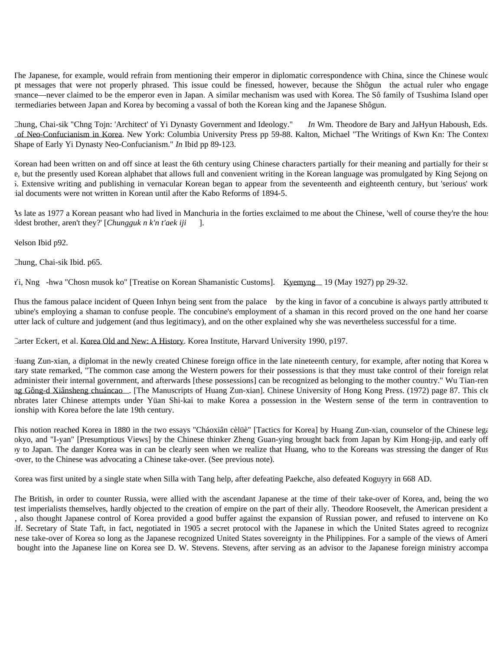The Japanese, for example, would refrain from mentioning their emperor in diplomatic correspondence with China, since the Chinese would pt messages that were not properly phrased. This issue could be finessed, however, because the Shôgun the actual ruler who engage gramance—never claimed to be the emperor even in Japan. A similar mechanism was used with Korea. The Sô family of Tsushima Island oper termediaries between Japan and Korea by becoming a vassal of both the Korean king and the Japanese Shôgun.

 Chung, Chai-sik "Chng Tojn: 'Architect' of Yi Dynasty Government and Ideology." *In* Wm. Theodore de Bary and JaHyun Haboush, Eds. of Neo-Confucianism in Korea. New York: Columbia University Press pp 59-88. Kalton, Michael "The Writings of Kwn Kn: The Context Shape of Early Yi Dynasty Neo-Confucianism." *In* Ibid pp 89-123.

Korean had been written on and off since at least the 6th century using Chinese characters partially for their meaning and partially for their so e, but the presently used Korean alphabet that allows full and convenient writing in the Korean language was promulgated by King Sejong on 5. Extensive writing and publishing in vernacular Korean began to appear from the seventeenth and eighteenth century, but 'serious' work ial documents were not written in Korean until after the Kabo Reforms of 1894-5.

As late as 1977 a Korean peasant who had lived in Manchuria in the forties exclaimed to me about the Chinese, 'well of course they're the house the eldest brother, aren't they?' [*Chungguk n k'n t'aek iji* ].

Nelson Ibid p92.

Chung, Chai-sik Ibid. p65.

Yi, Nng -hwa "Chosn musok ko" [Treatise on Korean Shamanistic Customs]. Kyemyng 19 (May 1927) pp 29-32.

Thus the famous palace incident of Queen Inhy n being sent from the palace by the king in favor of a concubine is always partly attributed to ubine's employing a shaman to confuse people. The concubine's employment of a shaman in this record proved on the one hand her coarse and utter lack of culture and judgement (and thus legitimacy), and on the other explained why she was nevertheless successful for a time.

Carter Eckert, et al. Korea Old and New: A History. Korea Institute, Harvard University 1990, p197.

Huang Zun-xian, a diplomat in the newly created Chinese foreign office in the late nineteenth century, for example, after noting that Korea w tary state remarked, "The common case among the Western powers for their possessions is that they must take control of their foreign relat administer their internal government, and afterwards [these possessions] can be recognized as belonging to the mother country." Wu Tian-ren ng Gông-d Xiânsheng chuáncao . [The Manuscripts of Huang Zun-xian]. Chinese University of Hong Kong Press. (1972) page 87. This cle nbrates later Chinese attempts under Yüan Shi-kai to make Korea a possession in the Western sense of the term in contravention to ionship with Korea before the late 19th century.

This notion reached Korea in 1880 in the two essays "Cháoxiân cèlüè" [Tactics for Korea] by Huang Zun-xian, counselor of the Chinese legation okyo, and "I-yan" [Presumptious Views] by the Chinese thinker Zheng Guan-ying brought back from Japan by Kim Hong-jip, and early off ry to Japan. The danger Korea was in can be clearly seen when we realize that Huang, who to the Koreans was stressing the danger of Rus -over, to the Chinese was advocating a Chinese take-over. (See previous note).

Korea was first united by a single state when Silla with Tang help, after defeating Paekche, also defeated Koguyry in 668 AD.

The British, in order to counter Russia, were allied with the ascendant Japanese at the time of their take-over of Korea, and, being the wo test imperialists themselves, hardly objected to the creation of empire on the part of their ally. Theodore Roosevelt, the American president a , also thought Japanese control of Korea provided a good buffer against the expansion of Russian power, and refused to intervene on Ko If. Secretary of State Taft, in fact, negotiated in 1905 a secret protocol with the Japanese in which the United States agreed to recognize nese take-over of Korea so long as the Japanese recognized United States sovereignty in the Philippines. For a sample of the views of Ameri bought into the Japanese line on Korea see D. W. Stevens. Stevens, after serving as an advisor to the Japanese foreign ministry accompa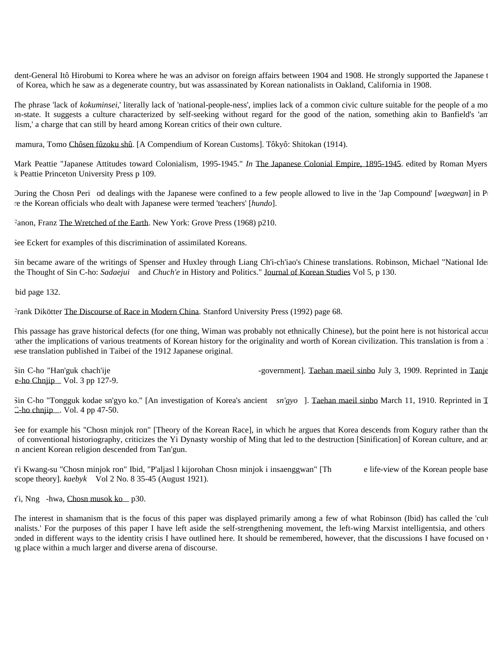dent-General Itô Hirobumi to Korea where he was an advisor on foreign affairs between 1904 and 1908. He strongly supported the Japanese t of Korea, which he saw as a degenerate country, but was assassinated by Korean nationalists in Oakland, California in 1908.

The phrase 'lack of *kokuminsei*,' literally lack of 'national-people-ness', implies lack of a common civic culture suitable for the people of a mo In-state. It suggests a culture characterized by self-seeking without regard for the good of the nation, something akin to Banfield's 'am lism,' a charge that can still by heard among Korean critics of their own culture.

Imamura, Tomo Chôsen fûzoku shû. [A Compendium of Korean Customs]. Tôkyô: Shitokan (1914).

Mark Peattie "Japanese Attitudes toward Colonialism, 1995-1945." *In* The Japanese Colonial Empire, 1895-1945. edited by Roman Myers k Peattie Princeton University Press p 109.

During the Chosn Peri od dealings with the Japanese were confined to a few people allowed to live in the 'Jap Compound' [*waegwan*] in P re the Korean officials who dealt with Japanese were termed 'teachers' [*hundo*].

Fanon, Franz The Wretched of the Earth. New York: Grove Press (1968) p210.

See Eckert for examples of this discrimination of assimilated Koreans.

Sin became aware of the writings of Spenser and Huxley through Liang Ch'i-ch'iao's Chinese translations. Robinson, Michael "National Identity" and the Thought of Sin C-ho: *Sadaejui* and *Chuch'e* in History and Politics." Journal of Korean Studies Vol 5, p 130.

bid page 132.

Frank Dikötter The Discourse of Race in Modern China. Stanford University Press (1992) page 68.

 This passage has grave historical defects (for one thing, Wiman was probably not ethnically Chinese), but the point here is not historical accuracy, ather the implications of various treatments of Korean history for the originality and worth of Korean civilization. This translation is from a 1 lese translation published in Taibei of the 1912 Japanese original.

 $e$ -ho Ch niip Vol. 3 pp 127-9.

Sin C-ho "Han'guk chach'ije -government]. Taehan maeil sinbo July 3, 1909. Reprinted in Tanje

Sin C-ho "Tongguk kodae sn'gyo ko." [An investigation of Korea's ancient *sn'gyo* ]. Taehan maeil sinbo March 11, 1910. Reprinted in T  $C$ -ho ch njip  $\ldots$  Vol. 4 pp 47-50.

See for example his "Chos n minjok ron" [Theory of the Korean Race], in which he argues that Korea descends from Kogury rather than the of conventional historiography, criticizes the Yi Dynasty worship of Ming that led to the destruction [Sinification] of Korean culture, and arguest of corean culture. In ancient Korean religion descended from Tan'gun.

Yi Kwang-su "Chos n minjok ron" Ibid, "P'aljas l 1 kijorohan Chos n minjok i insaenggwan" [Th e life-view of the Korean people base scope theory].  $kaebyk$  Vol 2 No. 8 35-45 (August 1921).

Yi, N ng -hwa, Chosn musok ko p30.

The interest in shamanism that is the focus of this paper was displayed primarily among a few of what Robinson (Ibid) has called the 'cult nalists.' For the purposes of this paper I have left aside the self-strengthening movement, the left-wing Marxist intelligentsia, and others onded in different ways to the identity crisis I have outlined here. It should be remembered, however, that the discussions I have focused on v  $t$ g place within a much larger and diverse arena of discourse.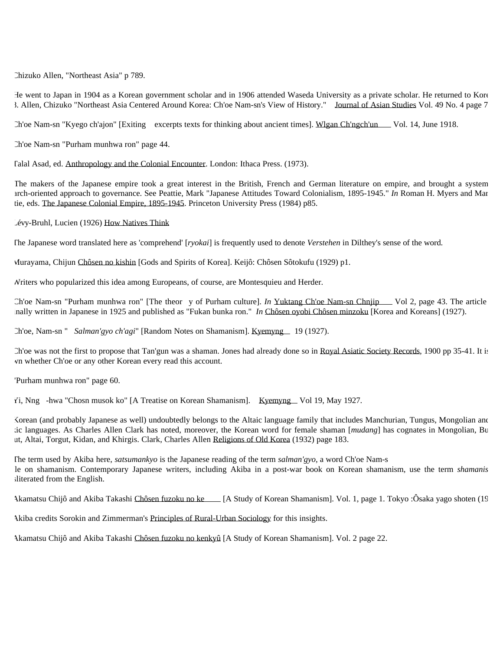Chizuko Allen, "Northeast Asia" p 789.

 He went to Japan in 1904 as a Korean government scholar and in 1906 attended Waseda University as a private scholar. He returned to Korea in 3. Allen, Chizuko "Northeast Asia Centered Around Korea: Ch'oe Nam-sn's View of History." Journal of Asian Studies Vol. 49 No. 4 page 7

Ch'oe Nam-s n "Kyego ch'ajon" [Exiting excerpts texts for thinking about ancient times]. Wlgan Ch'ngch'un Vol. 14, June 1918.

Ch'oe Nam-sn "Purham munhwa ron" page 44.

Talal Asad, ed. Anthropology and the Colonial Encounter. London: Ithaca Press. (1973).

The makers of the Japanese empire took a great interest in the British, French and German literature on empire, and brought a system arch-oriented approach to governance. See Peattie, Mark "Japanese Attitudes Toward Colonialism, 1895-1945." *In* Roman H. Myers and Mar tie, eds. The Japanese Colonial Empire, 1895-1945. Princeton University Press (1984) p85.

Lévy-Bruhl, Lucien (1926) How Natives Think

The Japanese word translated here as 'comprehend' [*ryokai*] is frequently used to denote *Verstehen* in Dilthey's sense of the word.

Murayama, Chijun Chôsen no kishin [Gods and Spirits of Korea]. Keijô: Chôsen Sôtokufu (1929) p1.

Writers who popularized this idea among Europeans, of course, are Montesquieu and Herder.

Ch'oe Nam-sn "Purham munhwa ron" [The theor y of Purham culture]. *In* Yuktang Ch'oe Nam-sn Chnjip Vol 2, page 43. The article originally written in Japanese in 1925 and published as "Fukan bunka ron." *In* Chôsen oyobi Chôsen minzoku [Korea and Koreans] (1927).

Ch'oe, Nam-sn " *Salman'gyo ch'agi*" [Random Notes on Shamanism]. Kyemyng 19 (1927).

Ch'oe was not the first to propose that Tan'gun was a shaman. Jones had already done so in Royal Asiatic Society Records, 1900 pp 35-41. It is vn whether Ch'oe or any other Korean every read this account.

"Purham munhwa ron" page 60.

Yi, N ng -hwa "Chos n musok ko" [A Treatise on Korean Shamanism]. Kyemy ng Vol 19, May 1927.

Korean (and probably Japanese as well) undoubtedly belongs to the Altaic language family that includes Manchurian, Tungus, Mongolian and tic languages. As Charles Allen Clark has noted, moreover, the Korean word for female shaman [*mudang*] has cognates in Mongolian, Bu ut, Altai, Torgut, Kidan, and Khirgis. Clark, Charles Allen Religions of Old Korea (1932) page 183.

 The term used by Akiba here, *satsumankyo* is the Japanese reading of the term *salman'gyo*, a word Ch'oe Nam-s le on shamanism. Contemporary Japanese writers, including Akiba in a post-war book on Korean shamanism, use the term *shamanis* sliterated from the English.

Akamatsu Chijô and Akiba Takashi Chôsen fuzoku no ke [A Study of Korean Shamanism]. Vol. 1, page 1. Tokyo :Ôsaka yago shoten (19

Akiba credits Sorokin and Zimmerman's Principles of Rural-Urban Sociology for this insights.

Akamatsu Chijô and Akiba Takashi Chôsen fuzoku no kenkyû [A Study of Korean Shamanism]. Vol. 2 page 22.